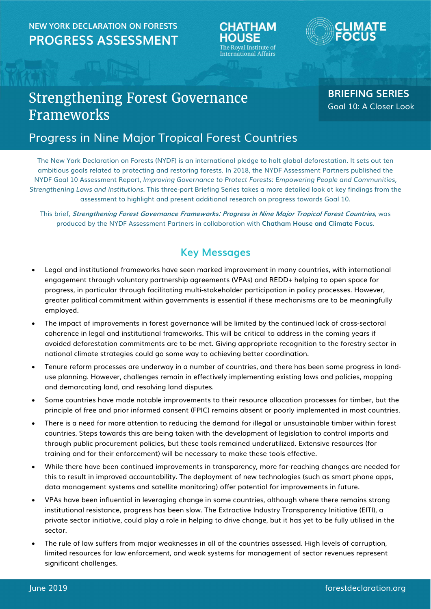## NEW YORK DECLARATION ON FORESTS PROGRESS ASSESSMENT HOUSE





# Strengthening Forest Governance Frameworks

### BRIEFING SERIES Goal 10: A Closer Look

## Progress in Nine Major Tropical Forest Countries

The New York Declaration on Forests (NYDF) is an international pledge to halt global deforestation. It sets out ten ambitious goals related to protecting and restoring forests. In 2018, the NYDF Assessment Partners published the NYDF Goal 10 Assessment Report, Improving Governance to Protect Forests: Empowering People and Communities, Strengthening Laws and Institutions. This three-part Briefing Series takes a more detailed look at key findings from the assessment to highlight and present additional research on progress towards Goal 10.

This brief, Strengthening Forest Governance Frameworks: Progress in Nine Major Tropical Forest Countries, was produced by the NYDF Assessment Partners in collaboration with Chatham House and Climate Focus.

### Key Messages

- Legal and institutional frameworks have seen marked improvement in many countries, with international engagement through voluntary partnership agreements (VPAs) and REDD+ helping to open space for progress, in particular through facilitating multi-stakeholder participation in policy processes. However, greater political commitment within governments is essential if these mechanisms are to be meaningfully employed.
- The impact of improvements in forest governance will be limited by the continued lack of cross-sectoral coherence in legal and institutional frameworks. This will be critical to address in the coming years if avoided deforestation commitments are to be met. Giving appropriate recognition to the forestry sector in national climate strategies could go some way to achieving better coordination.
- Tenure reform processes are underway in a number of countries, and there has been some progress in landuse planning. However, challenges remain in effectively implementing existing laws and policies, mapping and demarcating land, and resolving land disputes.
- Some countries have made notable improvements to their resource allocation processes for timber, but the principle of free and prior informed consent (FPIC) remains absent or poorly implemented in most countries.
- There is a need for more attention to reducing the demand for illegal or unsustainable timber within forest countries. Steps towards this are being taken with the development of legislation to control imports and through public procurement policies, but these tools remained underutilized. Extensive resources (for training and for their enforcement) will be necessary to make these tools effective.
- While there have been continued improvements in transparency, more far-reaching changes are needed for this to result in improved accountability. The deployment of new technologies (such as smart phone apps, data management systems and satellite monitoring) offer potential for improvements in future.
- VPAs have been influential in leveraging change in some countries, although where there remains strong institutional resistance, progress has been slow. The Extractive Industry Transparency Initiative (EITI), a private sector initiative, could play a role in helping to drive change, but it has yet to be fully utilised in the sector.
- The rule of law suffers from major weaknesses in all of the countries assessed. High levels of corruption, limited resources for law enforcement, and weak systems for management of sector revenues represent significant challenges.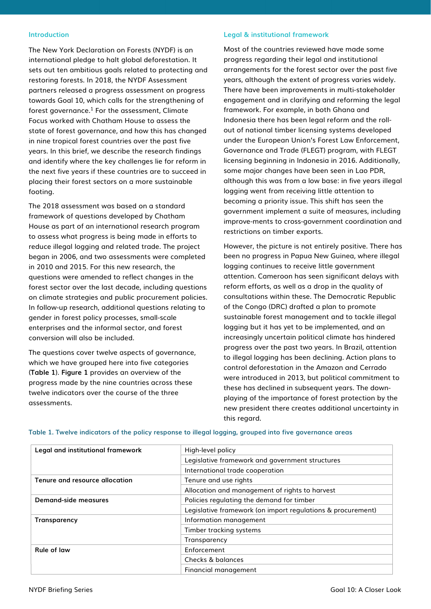#### Introduction

The New York Declaration on Forests (NYDF) is an international pledge to halt global deforestation. It sets out ten ambitious goals related to protecting and restoring forests. In 2018, the NYDF Assessment partners released a progress assessment on progress towards Goal 10, which calls for the strengthening of forest governance. $^1$  For the assessment, Climate Focus worked with Chatham House to assess the state of forest governance, and how this has changed in nine tropical forest countries over the past five years. In this brief, we describe the research findings and identify where the key challenges lie for reform in the next five years if these countries are to succeed in placing their forest sectors on a more sustainable footing.

The 2018 assessment was based on a standard framework of questions developed by Chatham House as part of an international research program to assess what progress is being made in efforts to reduce illegal logging and related trade. The project began in 2006, and two assessments were completed in 2010 and 2015. For this new research, the questions were amended to reflect changes in the forest sector over the last decade, including questions on climate strategies and public procurement policies. In follow-up research, additional questions relating to gender in forest policy processes, small-scale enterprises and the informal sector, and forest conversion will also be included.

The questions cover twelve aspects of governance, which we have grouped here into five categories (Table 1). Figure 1 provides an overview of the progress made by the nine countries across these twelve indicators over the course of the three assessments.

#### Legal & institutional framework

Most of the countries reviewed have made some progress regarding their legal and institutional arrangements for the forest sector over the past five years, although the extent of progress varies widely. There have been improvements in multi-stakeholder engagement and in clarifying and reforming the legal framework. For example, in both Ghana and Indonesia there has been legal reform and the rollout of national timber licensing systems developed under the European Union's Forest Law Enforcement, Governance and Trade (FLEGT) program, with FLEGT licensing beginning in Indonesia in 2016. Additionally, some major changes have been seen in Lao PDR, although this was from a low base: in five years illegal logging went from receiving little attention to becoming a priority issue. This shift has seen the government implement a suite of measures, including improve-ments to cross-government coordination and restrictions on timber exports.

However, the picture is not entirely positive. There has been no progress in Papua New Guinea, where illegal logging continues to receive little government attention. Cameroon has seen significant delays with reform efforts, as well as a drop in the quality of consultations within these. The Democratic Republic of the Congo (DRC) drafted a plan to promote sustainable forest management and to tackle illegal logging but it has yet to be implemented, and an increasingly uncertain political climate has hindered progress over the past two years. In Brazil, attention to illegal logging has been declining. Action plans to control deforestation in the Amazon and Cerrado were introduced in 2013, but political commitment to these has declined in subsequent years. The downplaying of the importance of forest protection by the new president there creates additional uncertainty in this regard.

| Legal and institutional framework | High-level policy                                           |  |  |  |  |
|-----------------------------------|-------------------------------------------------------------|--|--|--|--|
|                                   | Legislative framework and government structures             |  |  |  |  |
|                                   | International trade cooperation                             |  |  |  |  |
| Tenure and resource allocation    | Tenure and use rights                                       |  |  |  |  |
|                                   | Allocation and management of rights to harvest              |  |  |  |  |
| Demand-side measures              | Policies regulating the demand for timber                   |  |  |  |  |
|                                   | Legislative framework (on import regulations & procurement) |  |  |  |  |
| Transparency                      | Information management                                      |  |  |  |  |
|                                   | Timber tracking systems                                     |  |  |  |  |
|                                   | Transparency                                                |  |  |  |  |
| Rule of law                       | Enforcement                                                 |  |  |  |  |
|                                   | Checks & balances                                           |  |  |  |  |
|                                   | Financial management                                        |  |  |  |  |

#### Table 1. Twelve indicators of the policy response to illegal logging, grouped into five governance areas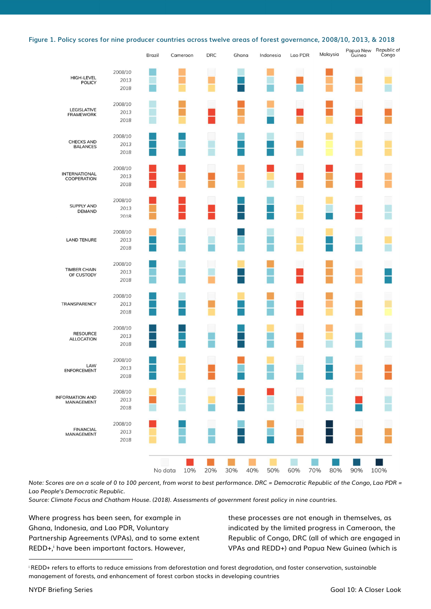|  |  |  |  |  |  | Figure 1. Policy scores for nine producer countries across twelve areas of forest governance, 2008/10, 2013, & 2018 |  |  |  |  |  |  |
|--|--|--|--|--|--|---------------------------------------------------------------------------------------------------------------------|--|--|--|--|--|--|
|--|--|--|--|--|--|---------------------------------------------------------------------------------------------------------------------|--|--|--|--|--|--|

|                                      |         | Brazil  | Cameroon | <b>DRC</b> | Ghana      | Indonesia | Lao PDR | Malaysia   | Papua New<br>Guinea | Republic of<br>Congo |
|--------------------------------------|---------|---------|----------|------------|------------|-----------|---------|------------|---------------------|----------------------|
| HIGH-LEVEL<br><b>POLICY</b>          | 2008/10 |         |          |            |            |           |         |            |                     |                      |
|                                      | 2013    |         |          |            |            |           |         |            |                     |                      |
|                                      | 2018    |         |          |            |            |           |         |            |                     |                      |
| <b>LEGISLATIVE</b>                   | 2008/10 |         |          |            |            |           |         |            |                     |                      |
| <b>FRAMEWORK</b>                     | 2013    |         |          |            |            |           |         |            |                     |                      |
|                                      | 2018    |         |          |            |            |           |         |            |                     |                      |
| <b>CHECKS AND</b>                    | 2008/10 |         |          |            |            |           |         |            |                     |                      |
| <b>BALANCES</b>                      | 2013    |         |          |            |            |           |         |            |                     |                      |
|                                      | 2018    |         |          |            |            |           |         |            |                     |                      |
| <b>INTERNATIONAL</b>                 | 2008/10 |         |          |            |            |           |         |            |                     |                      |
| COOPERATION                          | 2013    |         |          |            |            |           |         |            |                     |                      |
|                                      | 2018    |         |          |            |            |           |         |            |                     |                      |
| <b>SUPPLY AND</b>                    | 2008/10 |         |          |            |            |           |         |            |                     |                      |
| <b>DEMAND</b>                        | 2013    |         |          |            |            |           |         |            |                     |                      |
|                                      | 2018    |         |          |            |            |           |         |            |                     |                      |
|                                      | 2008/10 |         |          |            |            |           |         |            |                     |                      |
| <b>LAND TENURE</b>                   | 2013    |         |          |            |            |           |         |            |                     |                      |
|                                      | 2018    |         |          |            |            |           |         |            |                     |                      |
| <b>TIMBER CHAIN</b>                  | 2008/10 |         |          |            |            |           |         |            |                     |                      |
| OF CUSTODY                           | 2013    |         |          |            |            |           |         |            |                     |                      |
|                                      | 2018    |         |          |            |            |           |         |            |                     |                      |
|                                      | 2008/10 |         |          |            |            |           |         |            |                     |                      |
| TRANSPARENCY                         | 2013    |         |          |            |            |           |         |            |                     |                      |
|                                      | 2018    |         |          |            |            |           |         |            |                     |                      |
| <b>RESOURCE</b>                      | 2008/10 |         |          |            |            |           |         |            |                     |                      |
| <b>ALLOCATION</b>                    | 2013    |         |          |            |            |           |         |            |                     |                      |
|                                      | 2018    |         |          |            |            |           |         |            |                     |                      |
|                                      | 2008/10 |         |          |            |            |           |         |            |                     |                      |
| LAW<br><b>ENFORCEMENT</b>            | 2013    |         |          |            |            |           |         |            |                     |                      |
|                                      | 2018    |         |          |            |            |           |         |            |                     |                      |
|                                      | 2008/10 |         |          |            |            |           |         |            |                     |                      |
| <b>INFORMATION AND</b><br>MANAGEMENT | 2013    |         |          |            |            |           |         |            |                     |                      |
|                                      | 2018    |         |          |            |            |           |         |            |                     |                      |
|                                      | 2008/10 |         |          |            |            |           |         |            |                     |                      |
| <b>FINANCIAL</b><br>MANAGEMENT       | 2013    |         |          |            |            |           |         |            |                     |                      |
|                                      | 2018    |         |          |            |            |           |         |            |                     |                      |
|                                      |         |         |          |            |            |           |         |            |                     |                      |
|                                      |         | No data | 10%      | 20%        | 30%<br>40% | 50%       | 60%     | 70%<br>80% | 90%                 | 100%                 |

Note: Scores are on a scale of 0 to 100 percent, from worst to best performance. DRC = Democratic Republic of the Congo, Lao PDR = Lao People's Democratic Republic.

Source: Climate Focus and Chatham House. (2018). Assessments of government forest policy in nine countries.

Where progress has been seen, for example in Ghana, Indonesia, and Lao PDR, Voluntary Partnership Agreements (VPAs), and to some extent REDD+,<sup>i</sup> have been important factors. However,

these processes are not enough in themselves, as indicated by the limited progress in Cameroon, the Republic of Congo, DRC (all of which are engaged in VPAs and REDD+) and Papua New Guinea (which is

 $\overline{a}$ 

<sup>i</sup> REDD+ refers to efforts to reduce emissions from deforestation and forest degradation, and foster conservation, sustainable management of forests, and enhancement of forest carbon stocks in developing countries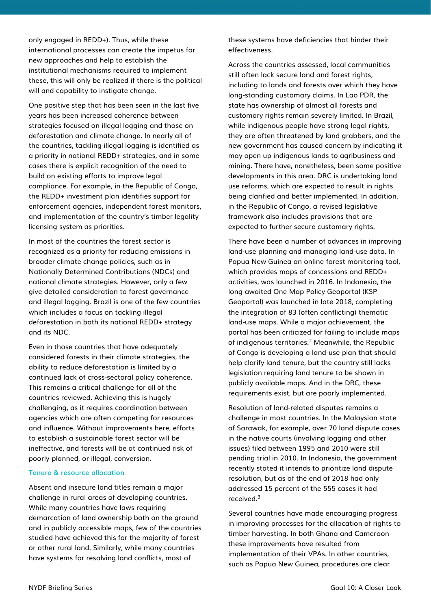only engaged in REDD+). Thus, while these international processes can create the impetus for new approaches and help to establish the institutional mechanisms required to implement these, this will only be realized if there is the political will and capability to instigate change.

One positive step that has been seen in the last five years has been increased coherence between strategies focused on illegal logging and those on deforestation and climate change. In nearly all of the countries, tackling illegal logging is identified as a priority in national REDD+ strategies, and in some cases there is explicit recognition of the need to build on existing efforts to improve legal compliance. For example, in the Republic of Congo, the REDD+ investment plan identifies support for enforcement agencies, independent forest monitors, and implementation of the country's timber legality licensing system as priorities.

In most of the countries the forest sector is recognized as a priority for reducing emissions in broader climate change policies, such as in Nationally Determined Contributions (NDCs) and national climate strategies. However, only a few give detailed consideration to forest governance and illegal logging. Brazil is one of the few countries which includes a focus on tackling illegal deforestation in both its national REDD+ strategy and its NDC.

Even in those countries that have adequately considered forests in their climate strategies, the ability to reduce deforestation is limited by a continued lack of cross-sectoral policy coherence. This remains a critical challenge for all of the countries reviewed. Achieving this is hugely challenging, as it requires coordination between agencies which are often competing for resources and influence. Without improvements here, efforts to establish a sustainable forest sector will be ineffective, and forests will be at continued risk of poorly-planned, or illegal, conversion.

#### Tenure & resource allocation

Absent and insecure land titles remain a major challenge in rural areas of developing countries. While many countries have laws requiring demarcation of land ownership both on the ground and in publicly accessible maps, few of the countries studied have achieved this for the majority of forest or other rural land. Similarly, while many countries have systems for resolving land conflicts, most of

these systems have deficiencies that hinder their effectiveness.

Across the countries assessed, local communities still often lack secure land and forest rights, including to lands and forests over which they have long-standing customary claims. In Lao PDR, the state has ownership of almost all forests and customary rights remain severely limited. In Brazil, while indigenous people have strong legal rights, they are often threatened by land grabbers, and the new government has caused concern by indicating it may open up indigenous lands to agribusiness and mining. There have, nonetheless, been some positive developments in this area. DRC is undertaking land use reforms, which are expected to result in rights being clarified and better implemented. In addition, in the Republic of Congo, a revised legislative framework also includes provisions that are expected to further secure customary rights.

There have been a number of advances in improving land-use planning and managing land-use data. In Papua New Guinea an online forest monitoring tool, which provides maps of concessions and REDD+ activities, was launched in 2016. In Indonesia, the long-awaited One Map Policy Geoportal (KSP Geoportal) was launched in late 2018, completing the integration of 83 (often conflicting) thematic land-use maps. While a major achievement, the portal has been criticized for failing to include maps of indigenous territories.<sup>2</sup> Meanwhile, the Republic of Congo is developing a land-use plan that should help clarify land tenure, but the country still lacks legislation requiring land tenure to be shown in publicly available maps. And in the DRC, these requirements exist, but are poorly implemented.

Resolution of land-related disputes remains a challenge in most countries. In the Malaysian state of Sarawak, for example, over 70 land dispute cases in the native courts (involving logging and other issues) filed between 1995 and 2010 were still pending trial in 2010. In Indonesia, the government recently stated it intends to prioritize land dispute resolution, but as of the end of 2018 had only addressed 15 percent of the 555 cases it had received.<sup>3</sup>

Several countries have made encouraging progress in improving processes for the allocation of rights to timber harvesting. In both Ghana and Cameroon these improvements have resulted from implementation of their VPAs. In other countries, such as Papua New Guinea, procedures are clear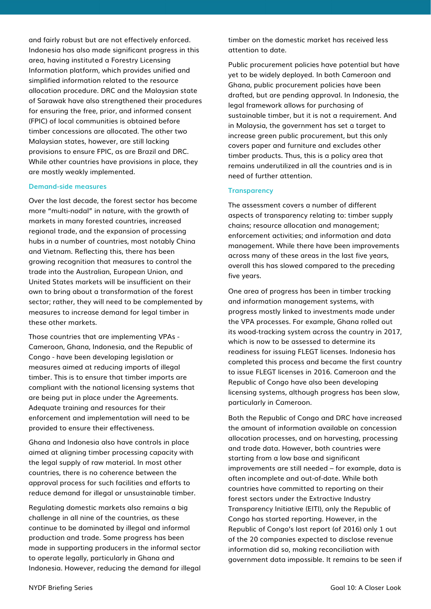and fairly robust but are not effectively enforced. Indonesia has also made significant progress in this area, having instituted a Forestry Licensing Information platform, which provides unified and simplified information related to the resource allocation procedure. DRC and the Malaysian state of Sarawak have also strengthened their procedures for ensuring the free, prior, and informed consent (FPIC) of local communities is obtained before timber concessions are allocated. The other two Malaysian states, however, are still lacking provisions to ensure FPIC, as are Brazil and DRC. While other countries have provisions in place, they are mostly weakly implemented.

#### Demand-side measures

Over the last decade, the forest sector has become more "multi-nodal" in nature, with the growth of markets in many forested countries, increased regional trade, and the expansion of processing hubs in a number of countries, most notably China and Vietnam. Reflecting this, there has been growing recognition that measures to control the trade into the Australian, European Union, and United States markets will be insufficient on their own to bring about a transformation of the forest sector; rather, they will need to be complemented by measures to increase demand for legal timber in these other markets.

Those countries that are implementing VPAs - Cameroon, Ghana, Indonesia, and the Republic of Congo - have been developing legislation or measures aimed at reducing imports of illegal timber. This is to ensure that timber imports are compliant with the national licensing systems that are being put in place under the Agreements. Adequate training and resources for their enforcement and implementation will need to be provided to ensure their effectiveness.

Ghana and Indonesia also have controls in place aimed at aligning timber processing capacity with the legal supply of raw material. In most other countries, there is no coherence between the approval process for such facilities and efforts to reduce demand for illegal or unsustainable timber.

Regulating domestic markets also remains a big challenge in all nine of the countries, as these continue to be dominated by illegal and informal production and trade. Some progress has been made in supporting producers in the informal sector to operate legally, particularly in Ghana and Indonesia. However, reducing the demand for illegal timber on the domestic market has received less attention to date.

Public procurement policies have potential but have yet to be widely deployed. In both Cameroon and Ghana, public procurement policies have been drafted, but are pending approval. In Indonesia, the legal framework allows for purchasing of sustainable timber, but it is not a requirement. And in Malaysia, the government has set a target to increase green public procurement, but this only covers paper and furniture and excludes other timber products. Thus, this is a policy area that remains underutilized in all the countries and is in need of further attention.

#### **Transparency**

The assessment covers a number of different aspects of transparency relating to: timber supply chains; resource allocation and management; enforcement activities; and information and data management. While there have been improvements across many of these areas in the last five years, overall this has slowed compared to the preceding five years.

One area of progress has been in timber tracking and information management systems, with progress mostly linked to investments made under the VPA processes. For example, Ghana rolled out its wood-tracking system across the country in 2017, which is now to be assessed to determine its readiness for issuing FLEGT licenses. Indonesia has completed this process and became the first country to issue FLEGT licenses in 2016. Cameroon and the Republic of Congo have also been developing licensing systems, although progress has been slow, particularly in Cameroon.

Both the Republic of Congo and DRC have increased the amount of information available on concession allocation processes, and on harvesting, processing and trade data. However, both countries were starting from a low base and significant improvements are still needed – for example, data is often incomplete and out-of-date. While both countries have committed to reporting on their forest sectors under the Extractive Industry Transparency Initiative (EITI), only the Republic of Congo has started reporting. However, in the Republic of Congo's last report (of 2016) only 1 out of the 20 companies expected to disclose revenue information did so, making reconciliation with government data impossible. It remains to be seen if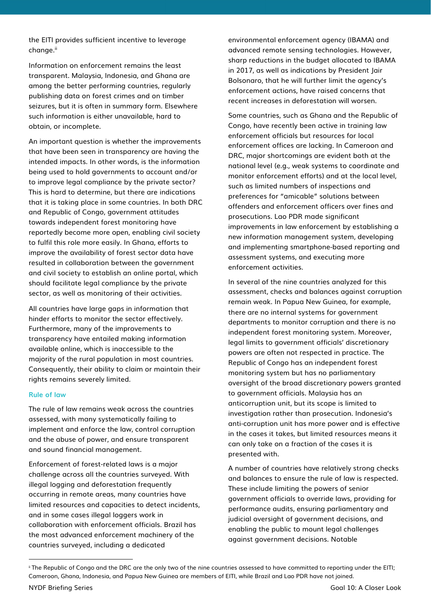the EITI provides sufficient incentive to leverage change.<sup>ii</sup>

Information on enforcement remains the least transparent. Malaysia, Indonesia, and Ghana are among the better performing countries, regularly publishing data on forest crimes and on timber seizures, but it is often in summary form. Elsewhere such information is either unavailable, hard to obtain, or incomplete.

An important question is whether the improvements that have been seen in transparency are having the intended impacts. In other words, is the information being used to hold governments to account and/or to improve legal compliance by the private sector? This is hard to determine, but there are indications that it is taking place in some countries. In both DRC and Republic of Congo, government attitudes towards independent forest monitoring have reportedly become more open, enabling civil society to fulfil this role more easily. In Ghana, efforts to improve the availability of forest sector data have resulted in collaboration between the government and civil society to establish an online portal, which should facilitate legal compliance by the private sector, as well as monitoring of their activities.

All countries have large gaps in information that hinder efforts to monitor the sector effectively. Furthermore, many of the improvements to transparency have entailed making information available online, which is inaccessible to the majority of the rural population in most countries. Consequently, their ability to claim or maintain their rights remains severely limited.

#### Rule of law

The rule of law remains weak across the countries assessed, with many systematically failing to implement and enforce the law, control corruption and the abuse of power, and ensure transparent and sound financial management.

Enforcement of forest-related laws is a major challenge across all the countries surveyed. With illegal logging and deforestation frequently occurring in remote areas, many countries have limited resources and capacities to detect incidents, and in some cases illegal loggers work in collaboration with enforcement officials. Brazil has the most advanced enforcement machinery of the countries surveyed, including a dedicated

environmental enforcement agency (IBAMA) and advanced remote sensing technologies. However, sharp reductions in the budget allocated to IBAMA in 2017, as well as indications by President Jair Bolsonaro, that he will further limit the agency's enforcement actions, have raised concerns that recent increases in deforestation will worsen.

Some countries, such as Ghana and the Republic of Congo, have recently been active in training law enforcement officials but resources for local enforcement offices are lacking. In Cameroon and DRC, major shortcomings are evident both at the national level (e.g., weak systems to coordinate and monitor enforcement efforts) and at the local level, such as limited numbers of inspections and preferences for "amicable" solutions between offenders and enforcement officers over fines and prosecutions. Lao PDR made significant improvements in law enforcement by establishing a new information management system, developing and implementing smartphone-based reporting and assessment systems, and executing more enforcement activities.

In several of the nine countries analyzed for this assessment, checks and balances against corruption remain weak. In Papua New Guinea, for example, there are no internal systems for government departments to monitor corruption and there is no independent forest monitoring system. Moreover, legal limits to government officials' discretionary powers are often not respected in practice. The Republic of Congo has an independent forest monitoring system but has no parliamentary oversight of the broad discretionary powers granted to government officials. Malaysia has an anticorruption unit, but its scope is limited to investigation rather than prosecution. Indonesia's anti-corruption unit has more power and is effective in the cases it takes, but limited resources means it can only take on a fraction of the cases it is presented with.

A number of countries have relatively strong checks and balances to ensure the rule of law is respected. These include limiting the powers of senior government officials to override laws, providing for performance audits, ensuring parliamentary and judicial oversight of government decisions, and enabling the public to mount legal challenges against government decisions. Notable

 $\overline{a}$ 

ii The Republic of Congo and the DRC are the only two of the nine countries assessed to have committed to reporting under the EITI; Cameroon, Ghana, Indonesia, and Papua New Guinea are members of EITI, while Brazil and Lao PDR have not joined.